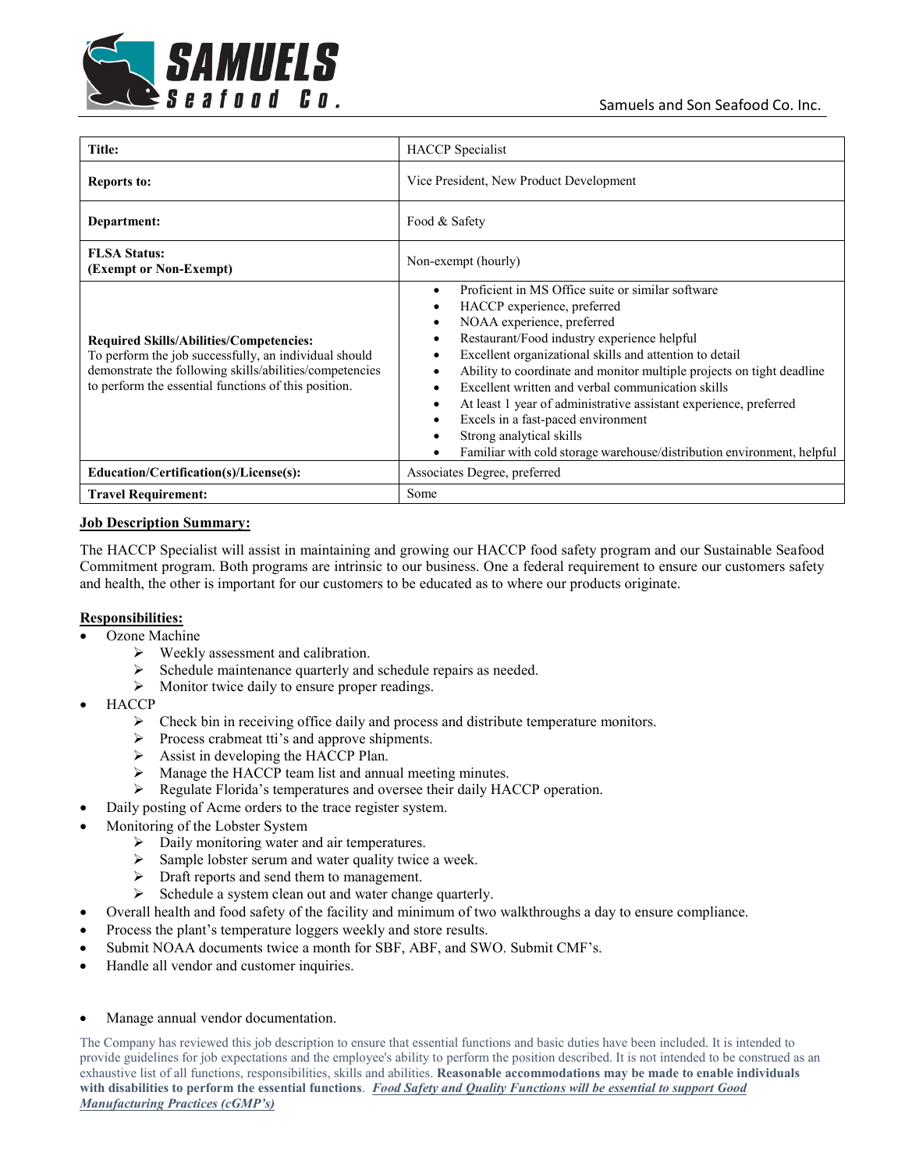

| Title:                                                                                                                                                                                                                     | <b>HACCP</b> Specialist                                                                                                                                                                                                                                                                                                                                                                                                                                                                                                                                                      |
|----------------------------------------------------------------------------------------------------------------------------------------------------------------------------------------------------------------------------|------------------------------------------------------------------------------------------------------------------------------------------------------------------------------------------------------------------------------------------------------------------------------------------------------------------------------------------------------------------------------------------------------------------------------------------------------------------------------------------------------------------------------------------------------------------------------|
| <b>Reports to:</b>                                                                                                                                                                                                         | Vice President, New Product Development                                                                                                                                                                                                                                                                                                                                                                                                                                                                                                                                      |
| Department:                                                                                                                                                                                                                | Food & Safety                                                                                                                                                                                                                                                                                                                                                                                                                                                                                                                                                                |
| <b>FLSA Status:</b><br>(Exempt or Non-Exempt)                                                                                                                                                                              | Non-exempt (hourly)                                                                                                                                                                                                                                                                                                                                                                                                                                                                                                                                                          |
| <b>Required Skills/Abilities/Competencies:</b><br>To perform the job successfully, an individual should<br>demonstrate the following skills/abilities/competencies<br>to perform the essential functions of this position. | Proficient in MS Office suite or similar software<br>HACCP experience, preferred<br>NOAA experience, preferred<br>Restaurant/Food industry experience helpful<br>Excellent organizational skills and attention to detail<br>Ability to coordinate and monitor multiple projects on tight deadline<br>Excellent written and verbal communication skills<br>At least 1 year of administrative assistant experience, preferred<br>٠<br>Excels in a fast-paced environment<br>Strong analytical skills<br>Familiar with cold storage warehouse/distribution environment, helpful |
| Education/Certification(s)/License(s):                                                                                                                                                                                     | Associates Degree, preferred                                                                                                                                                                                                                                                                                                                                                                                                                                                                                                                                                 |
| <b>Travel Requirement:</b>                                                                                                                                                                                                 | Some                                                                                                                                                                                                                                                                                                                                                                                                                                                                                                                                                                         |

## **Job Description Summary:**

The HACCP Specialist will assist in maintaining and growing our HACCP food safety program and our Sustainable Seafood Commitment program. Both programs are intrinsic to our business. One a federal requirement to ensure our customers safety and health, the other is important for our customers to be educated as to where our products originate.

## **Responsibilities:**

- Ozone Machine
	- $\triangleright$  Weekly assessment and calibration.
	- $\triangleright$  Schedule maintenance quarterly and schedule repairs as needed.
	- $\triangleright$  Monitor twice daily to ensure proper readings.
- HACCP
	- $\triangleright$  Check bin in receiving office daily and process and distribute temperature monitors.
	- > Process crabmeat tti's and approve shipments.
	- $\triangleright$  Assist in developing the HACCP Plan.
	- > Manage the HACCP team list and annual meeting minutes.
	- Regulate Florida's temperatures and oversee their daily HACCP operation.
- Daily posting of Acme orders to the trace register system.
- Monitoring of the Lobster System
	- $\triangleright$  Daily monitoring water and air temperatures.
	- $\triangleright$  Sample lobster serum and water quality twice a week.
	- $\triangleright$  Draft reports and send them to management.
	- $\triangleright$  Schedule a system clean out and water change quarterly.
- Overall health and food safety of the facility and minimum of two walkthroughs a day to ensure compliance.
- Process the plant's temperature loggers weekly and store results.
- Submit NOAA documents twice a month for SBF, ABF, and SWO. Submit CMF's.
- Handle all vendor and customer inquiries.

## Manage annual vendor documentation.

The Company has reviewed this job description to ensure that essential functions and basic duties have been included. It is intended to provide guidelines for job expectations and the employee's ability to perform the position described. It is not intended to be construed as an exhaustive list of all functions, responsibilities, skills and abilities. **Reasonable accommodations may be made to enable individuals with disabilities to perform the essential functions**. *Food Safety and Quality Functions will be essential to support Good Manufacturing Practices (cGMP's)*